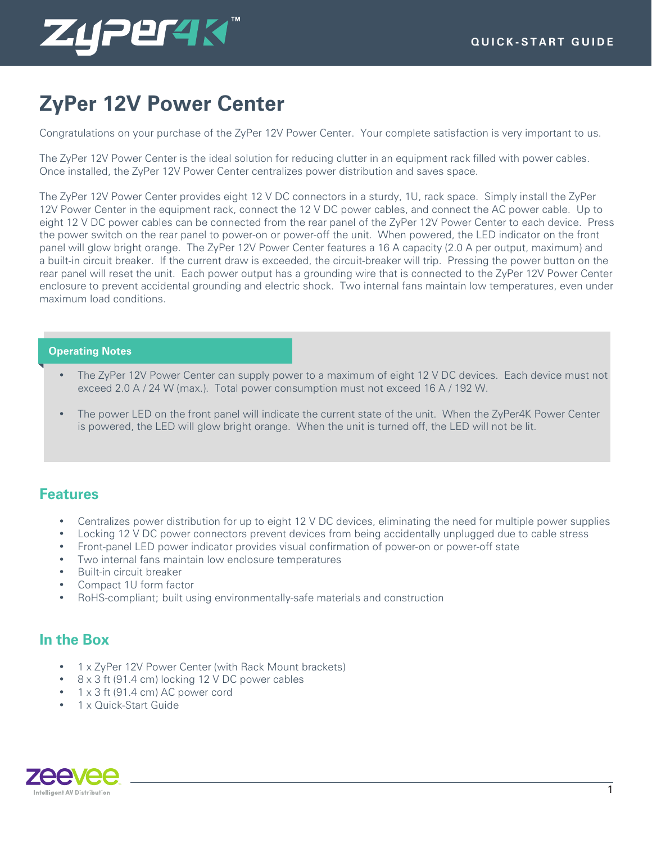

# **ZyPer 12V Power Center**

Congratulations on your purchase of the ZyPer 12V Power Center. Your complete satisfaction is very important to us.

The ZyPer 12V Power Center is the ideal solution for reducing clutter in an equipment rack filled with power cables. Once installed, the ZyPer 12V Power Center centralizes power distribution and saves space.

The ZyPer 12V Power Center provides eight 12 V DC connectors in a sturdy, 1U, rack space. Simply install the ZyPer 12V Power Center in the equipment rack, connect the 12 V DC power cables, and connect the AC power cable. Up to eight 12 V DC power cables can be connected from the rear panel of the ZyPer 12V Power Center to each device. Press the power switch on the rear panel to power-on or power-off the unit. When powered, the LED indicator on the front panel will glow bright orange. The ZyPer 12V Power Center features a 16 A capacity (2.0 A per output, maximum) and a built-in circuit breaker. If the current draw is exceeded, the circuit-breaker will trip. Pressing the power button on the rear panel will reset the unit. Each power output has a grounding wire that is connected to the ZyPer 12V Power Center enclosure to prevent accidental grounding and electric shock. Two internal fans maintain low temperatures, even under maximum load conditions.

#### **Operating Notes**

- The ZyPer 12V Power Center can supply power to a maximum of eight 12 V DC devices. Each device must not exceed 2.0 A / 24 W (max.). Total power consumption must not exceed 16 A / 192 W.
- The power LED on the front panel will indicate the current state of the unit. When the ZyPer4K Power Center is powered, the LED will glow bright orange. When the unit is turned off, the LED will not be lit.

#### **Features**

- Centralizes power distribution for up to eight 12 V DC devices, eliminating the need for multiple power supplies
- Locking 12 V DC power connectors prevent devices from being accidentally unplugged due to cable stress
- Front-panel LED power indicator provides visual confirmation of power-on or power-off state
- Two internal fans maintain low enclosure temperatures
- Built-in circuit breaker
- Compact 1U form factor
- RoHS-compliant; built using environmentally-safe materials and construction

### **In the Box**

- 1 x ZyPer 12V Power Center (with Rack Mount brackets)
- 8 x 3 ft (91.4 cm) locking 12 V DC power cables
- 1 x 3 ft (91.4 cm) AC power cord
- 1 x Quick-Start Guide

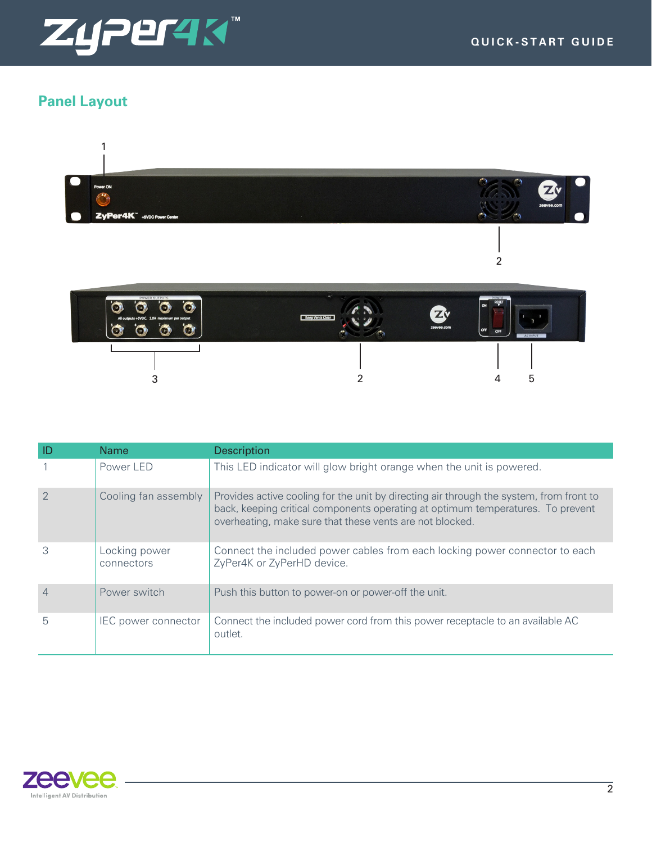

# **Panel Layout**



|   | <b>Name</b>                 | <b>Description</b>                                                                                                                                                                                                                     |
|---|-----------------------------|----------------------------------------------------------------------------------------------------------------------------------------------------------------------------------------------------------------------------------------|
|   | Power LED                   | This LED indicator will glow bright orange when the unit is powered.                                                                                                                                                                   |
|   | Cooling fan assembly        | Provides active cooling for the unit by directing air through the system, from front to<br>back, keeping critical components operating at optimum temperatures. To prevent<br>overheating, make sure that these vents are not blocked. |
|   | Locking power<br>connectors | Connect the included power cables from each locking power connector to each<br>ZyPer4K or ZyPerHD device.                                                                                                                              |
|   | Power switch                | Push this button to power-on or power-off the unit.                                                                                                                                                                                    |
| 5 | <b>IEC</b> power connector  | Connect the included power cord from this power receptacle to an available AC<br>outlet.                                                                                                                                               |